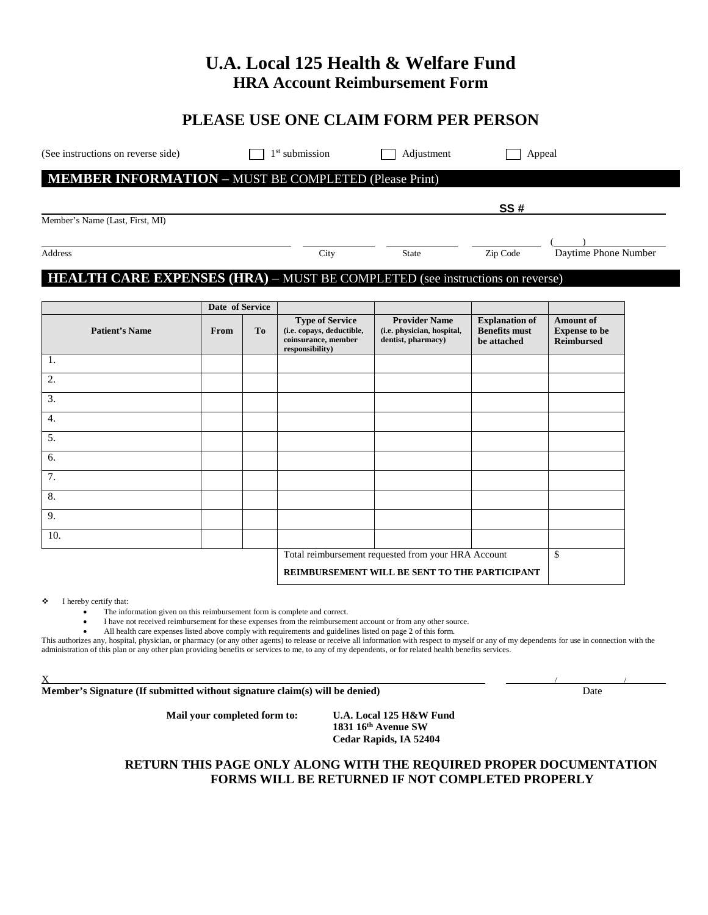# **U.A. Local 125 Health & Welfare Fund HRA Account Reimbursement Form**

## **PLEASE USE ONE CLAIM FORM PER PERSON**

(See instructions on reverse side)  $\Box$  1<sup>st</sup> submission  $\Box$  Adjustment  $\Box$  Appeal

## **MEMBER INFORMATION** – MUST BE COMPLETED (Please Print)

Member's Name (Last, First, MI)

## **HEALTH CARE EXPENSES (HRA)** – MUST BE COMPLETED (see instructions on reverse)

|                       | Date of Service |    |                                                                                               |                                                                          |                                                              |                                                               |
|-----------------------|-----------------|----|-----------------------------------------------------------------------------------------------|--------------------------------------------------------------------------|--------------------------------------------------------------|---------------------------------------------------------------|
| <b>Patient's Name</b> | From            | To | <b>Type of Service</b><br>(i.e. copays, deductible,<br>coinsurance, member<br>responsibility) | <b>Provider Name</b><br>(i.e. physician, hospital,<br>dentist, pharmacy) | <b>Explanation of</b><br><b>Benefits must</b><br>be attached | <b>Amount of</b><br><b>Expense to be</b><br><b>Reimbursed</b> |
| 1.                    |                 |    |                                                                                               |                                                                          |                                                              |                                                               |
| 2.                    |                 |    |                                                                                               |                                                                          |                                                              |                                                               |
| 3.                    |                 |    |                                                                                               |                                                                          |                                                              |                                                               |
| 4.                    |                 |    |                                                                                               |                                                                          |                                                              |                                                               |
| 5.                    |                 |    |                                                                                               |                                                                          |                                                              |                                                               |
| 6.                    |                 |    |                                                                                               |                                                                          |                                                              |                                                               |
| 7.                    |                 |    |                                                                                               |                                                                          |                                                              |                                                               |
| 8.                    |                 |    |                                                                                               |                                                                          |                                                              |                                                               |
| 9.                    |                 |    |                                                                                               |                                                                          |                                                              |                                                               |
| 10.                   |                 |    |                                                                                               |                                                                          |                                                              |                                                               |
|                       |                 |    | Total reimbursement requested from your HRA Account                                           |                                                                          |                                                              | \$                                                            |
|                       |                 |    | REIMBURSEMENT WILL BE SENT TO THE PARTICIPANT                                                 |                                                                          |                                                              |                                                               |

I hereby certify that:

• The information given on this reimbursement form is complete and correct.

• I have not received reimbursement for these expenses from the reimbursement account or from any other source.

• All health care expenses listed above comply with requirements and guidelines listed on page 2 of this form.

This authorizes any, hospital, physician, or pharmacy (or any other agents) to release or receive all information with respect to myself or any of my dependents for use in connection with the administration of this plan or any other plan providing benefits or services to me, to any of my dependents, or for related health benefits services.

 $\mathbf X$  , and the set of the set of the set of the set of the set of the set of the set of the set of the set of the set of the set of the set of the set of the set of the set of the set of the set of the set of the set of

**Member's Signature (If submitted without signature claim(s) will be denied)** Date

**Mail your completed form to: U.A. Local 125 H&W Fund**

**1831 16th Avenue SW Cedar Rapids, IA 52404**

### **RETURN THIS PAGE ONLY ALONG WITH THE REQUIRED PROPER DOCUMENTATION FORMS WILL BE RETURNED IF NOT COMPLETED PROPERLY**

( )

Address City State Zip Code Daytime Phone Number

**SS #**